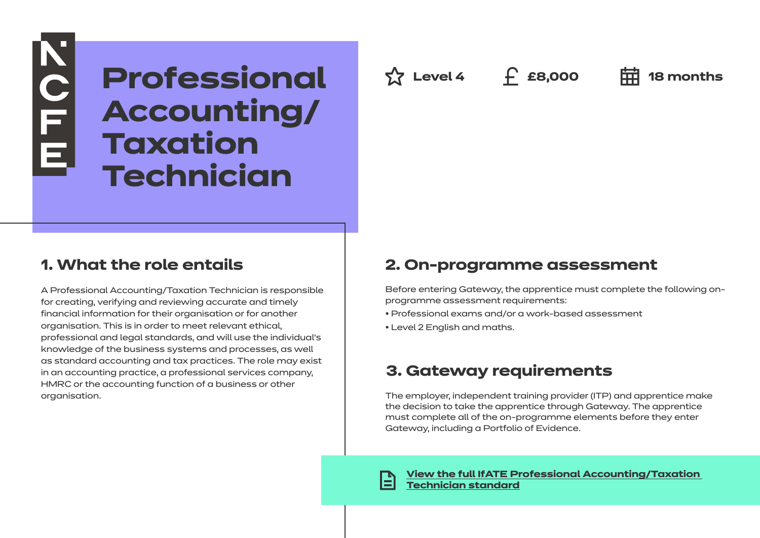**Professional Accounting/ Taxation Technician**

## **1. What the role entails**

**KOLLE** 

A Professional Accounting/Taxation Technician is responsible for creating, verifying and reviewing accurate and timely financial information for their organisation or for another organisation. This is in order to meet relevant ethical, professional and legal standards, and will use the individual's knowledge of the business systems and processes, as well as standard accounting and tax practices. The role may exist in an accounting practice, a professional services company, HMRC or the accounting function of a business or other organisation.

**Level 4 £8,000 18 months**

## **2. On-programme assessment**

Before entering Gateway, the apprentice must complete the following onprogramme assessment requirements:

- Professional exams and/or a work-based assessment
- Level 2 English and maths.

## **3. Gateway requirements**

The employer, independent training provider (ITP) and apprentice make the decision to take the apprentice through Gateway. The apprentice must complete all of the on-programme elements before they enter Gateway, including a Portfolio of Evidence.

**[View the full IfATE Professional Accounting/Taxation](https://www.instituteforapprenticeships.org/apprenticeship-standards/healthcare-assistant-practitioner/)  [Technician standard](https://www.instituteforapprenticeships.org/apprenticeship-standards/professional-accounting-or-taxation-technician-v1-1)**